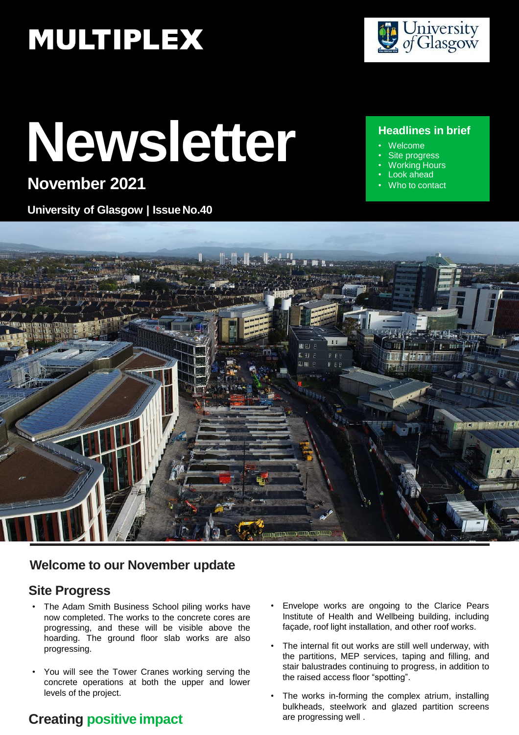# **MULTIPLEX**

# **Newsletter**

# **November 2021**

**University of Glasgow | Issue No.40**



#### **Headlines in brief**

- Welcome
- Site progress
- Working Hours Look ahead
- Who to contact



#### **Welcome to our November update**

#### **Site Progress**

- The Adam Smith Business School piling works have now completed. The works to the concrete cores are progressing, and these will be visible above the hoarding. The ground floor slab works are also progressing.
- You will see the Tower Cranes working serving the concrete operations at both the upper and lower levels of the project.

## **Creating positive impact**

- Envelope works are ongoing to the Clarice Pears Institute of Health and Wellbeing building, including façade, roof light installation, and other roof works.
- The internal fit out works are still well underway, with the partitions, MEP services, taping and filling, and stair balustrades continuing to progress, in addition to the raised access floor "spotting".
- The works in-forming the complex atrium, installing bulkheads, steelwork and glazed partition screens are progressing well .